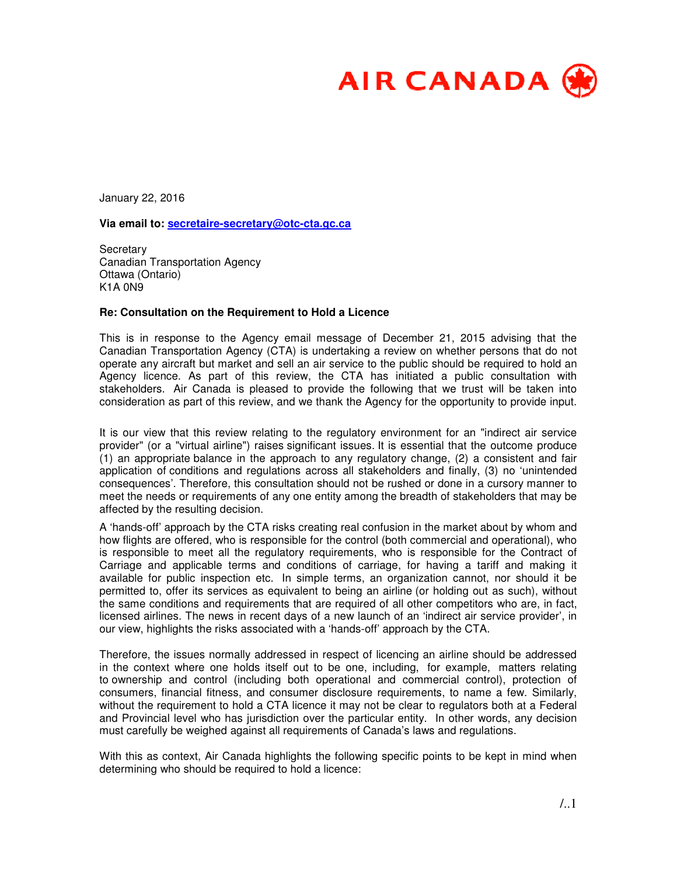

January 22, 2016

**Via email to: secretaire-secretary@otc-cta.gc.ca**

**Secretary** Canadian Transportation Agency Ottawa (Ontario) K1A 0N9

## **Re: Consultation on the Requirement to Hold a Licence**

This is in response to the Agency email message of December 21, 2015 advising that the Canadian Transportation Agency (CTA) is undertaking a review on whether persons that do not operate any aircraft but market and sell an air service to the public should be required to hold an Agency licence. As part of this review, the CTA has initiated a public consultation with stakeholders. Air Canada is pleased to provide the following that we trust will be taken into consideration as part of this review, and we thank the Agency for the opportunity to provide input.

It is our view that this review relating to the regulatory environment for an "indirect air service provider" (or a "virtual airline") raises significant issues. It is essential that the outcome produce (1) an appropriate balance in the approach to any regulatory change, (2) a consistent and fair application of conditions and regulations across all stakeholders and finally, (3) no 'unintended consequences'. Therefore, this consultation should not be rushed or done in a cursory manner to meet the needs or requirements of any one entity among the breadth of stakeholders that may be affected by the resulting decision.

A 'hands-off' approach by the CTA risks creating real confusion in the market about by whom and how flights are offered, who is responsible for the control (both commercial and operational), who is responsible to meet all the regulatory requirements, who is responsible for the Contract of Carriage and applicable terms and conditions of carriage, for having a tariff and making it available for public inspection etc. In simple terms, an organization cannot, nor should it be permitted to, offer its services as equivalent to being an airline (or holding out as such), without the same conditions and requirements that are required of all other competitors who are, in fact, licensed airlines. The news in recent days of a new launch of an 'indirect air service provider', in our view, highlights the risks associated with a 'hands-off' approach by the CTA.

Therefore, the issues normally addressed in respect of licencing an airline should be addressed in the context where one holds itself out to be one, including, for example, matters relating to ownership and control (including both operational and commercial control), protection of consumers, financial fitness, and consumer disclosure requirements, to name a few. Similarly, without the requirement to hold a CTA licence it may not be clear to regulators both at a Federal and Provincial level who has jurisdiction over the particular entity. In other words, any decision must carefully be weighed against all requirements of Canada's laws and regulations.

With this as context, Air Canada highlights the following specific points to be kept in mind when determining who should be required to hold a licence: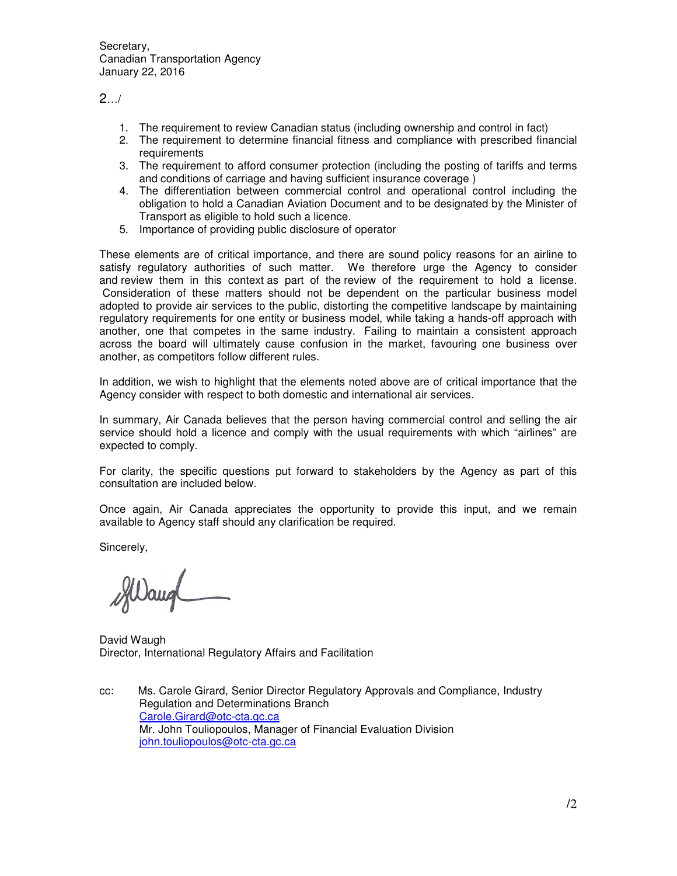Secretary, Canadian Transportation Agency January 22, 2016

 $2.../$ 

- 1. The requirement to review Canadian status (including ownership and control in fact)
- 2. The requirement to determine financial fitness and compliance with prescribed financial requirements
- 3. The requirement to afford consumer protection (including the posting of tariffs and terms and conditions of carriage and having sufficient insurance coverage )
- 4. The differentiation between commercial control and operational control including the obligation to hold a Canadian Aviation Document and to be designated by the Minister of Transport as eligible to hold such a licence.
- 5. Importance of providing public disclosure of operator

These elements are of critical importance, and there are sound policy reasons for an airline to satisfy regulatory authorities of such matter. We therefore urge the Agency to consider and review them in this context as part of the review of the requirement to hold a license. Consideration of these matters should not be dependent on the particular business model adopted to provide air services to the public, distorting the competitive landscape by maintaining regulatory requirements for one entity or business model, while taking a hands-off approach with another, one that competes in the same industry. Failing to maintain a consistent approach across the board will ultimately cause confusion in the market, favouring one business over another, as competitors follow different rules.

In addition, we wish to highlight that the elements noted above are of critical importance that the Agency consider with respect to both domestic and international air services.

In summary, Air Canada believes that the person having commercial control and selling the air service should hold a licence and comply with the usual requirements with which "airlines" are expected to comply.

For clarity, the specific questions put forward to stakeholders by the Agency as part of this consultation are included below.

Once again, Air Canada appreciates the opportunity to provide this input, and we remain available to Agency staff should any clarification be required.

Sincerely,

David Waugh Director, International Regulatory Affairs and Facilitation

cc: Ms. Carole Girard, Senior Director Regulatory Approvals and Compliance, Industry Regulation and Determinations Branch Carole.Girard@otc-cta.gc.ca Mr. John Touliopoulos, Manager of Financial Evaluation Division john.touliopoulos@otc-cta.gc.ca